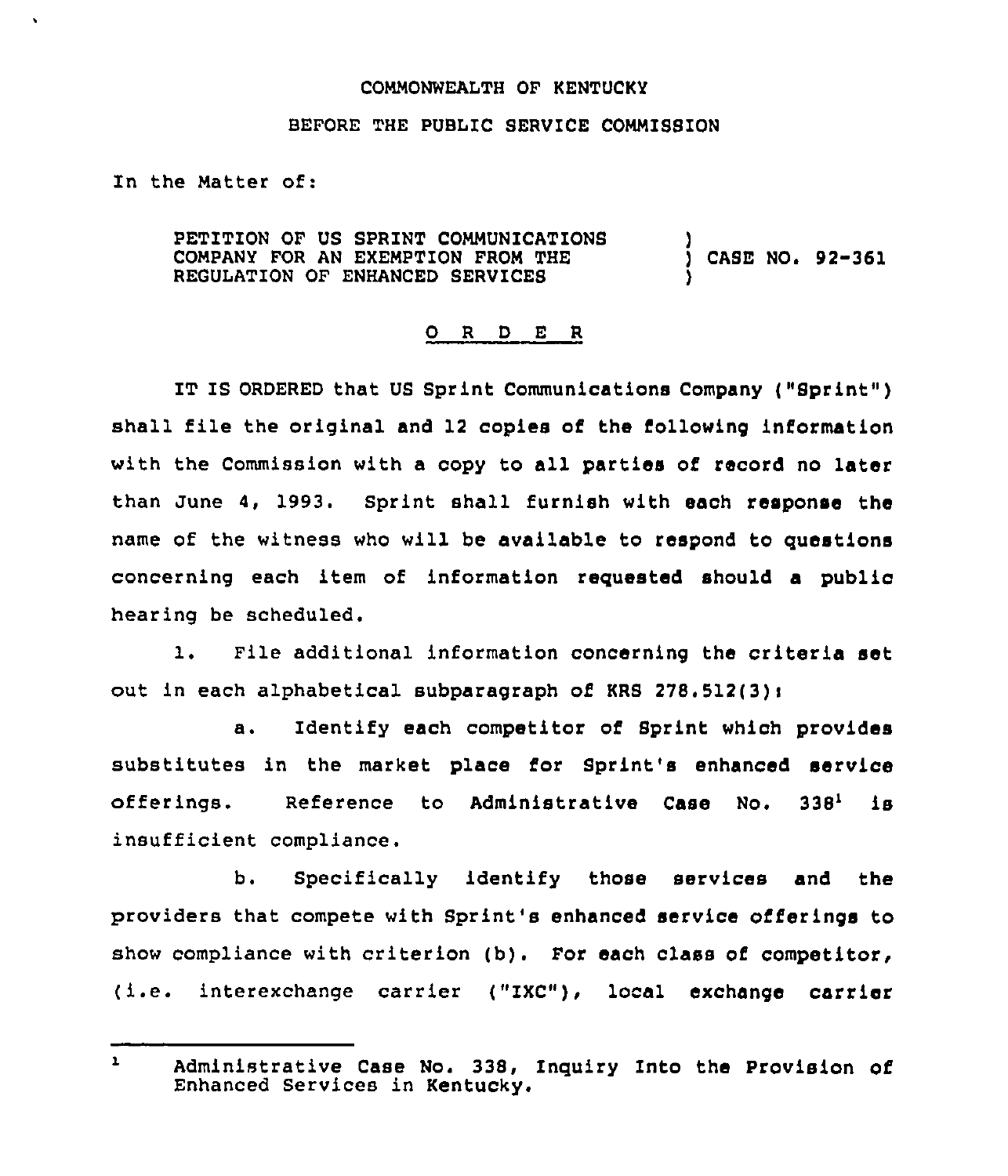## COMMONWEALTH OF KENTUCKY

## BEFORE THE PUBLIC SERVICE COMMISSION

In the Matter of:

PETITION OF US SPRINT COMMUNICATIONS COMPANY FOR AN EXEMPTION FROM THE REGULATION OF ENHANCED SERVICES ) ) CASE NO. 92-361 )

## 0 <sup>R</sup> <sup>D</sup> <sup>E</sup> <sup>R</sup>

IT IS ORDERED that US Sprint Communications Company ( "Bprint" ) shall file the original and 12 copies of the following information with the Commission with a copy to all parties of record no later than June 4, 1993. Sprint shall furnish with each response the name of the witness who will be available to respond to questions concerning each item of information requested should a public hearing be scheduled.

1. File additional information concerning the criteria set out in each alphabetical subparagraph of KRS  $278.512(3)$ :

a. Identify each competitor of Sprint which provides substitutes in the market place for Sprint's enhanced service offerings. Reference to Administrative Case No.  $338<sup>1</sup>$  is insufficient compliance.

b. Specifically identify those services and the providers that compete with Sprint's enhanced service offerings to show compliance with criterion (b). For each class of competitor, (i.e. interexchange carrier ("ZXC"), local exchange carrier

 $\mathbf{1}$ Administrative Case No. 338, Inquiry Into the Provision of Enhanced Services in Kentucky.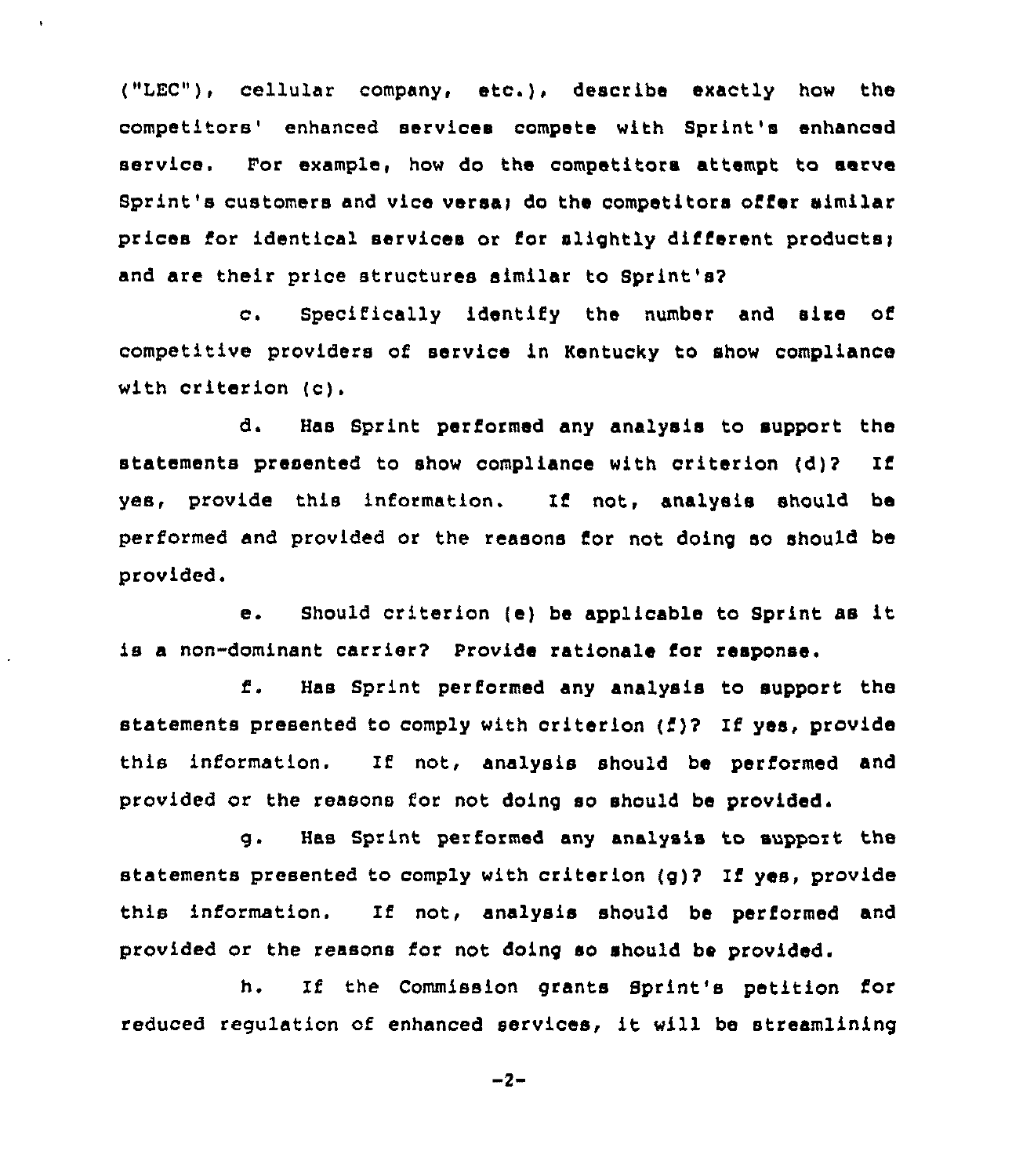("LEC"), cellular company, etc.), describe exactly how the competitors' enhanced services compete with Sprint's enhanced service. For example, how do the competitors attempt to serve Sprint's customers and vice versa; do the competitors offer similar prices for identical services or for slightly different products; and are their price structures similar to Sprint's?

c. Specifically identify the number and size of competitive providers of service in Kentucky to show compliance with criterion (c).

d. Has Sprint performed any analysis to support the statements presented to show compliance with criterion (d)2 If yes, provide this information. If not, analysis should be performed and provided or the reasons for not doing so should be provided.

e. Should criterion (e) be applicable to Sprint as it is a non-dominant carrier? Provide rationale for response,

Has Sprint performed any analysis to support the f. statements presented to comply with criterion {i)? If yes, provide this information. If not, analysis should be performed and provided or the reasons for not doing so should be provided.

g. Has Sprint performed any analysis to support the statements presented to comply with criterion (g)? If yes, provide this information. If not, analysis should be performed and provided or the reasons for not doing so should be provided.

h. If the Commission grants Sprint's petition for reduced regulation of enhanced services, it will be streamlining

 $-2-$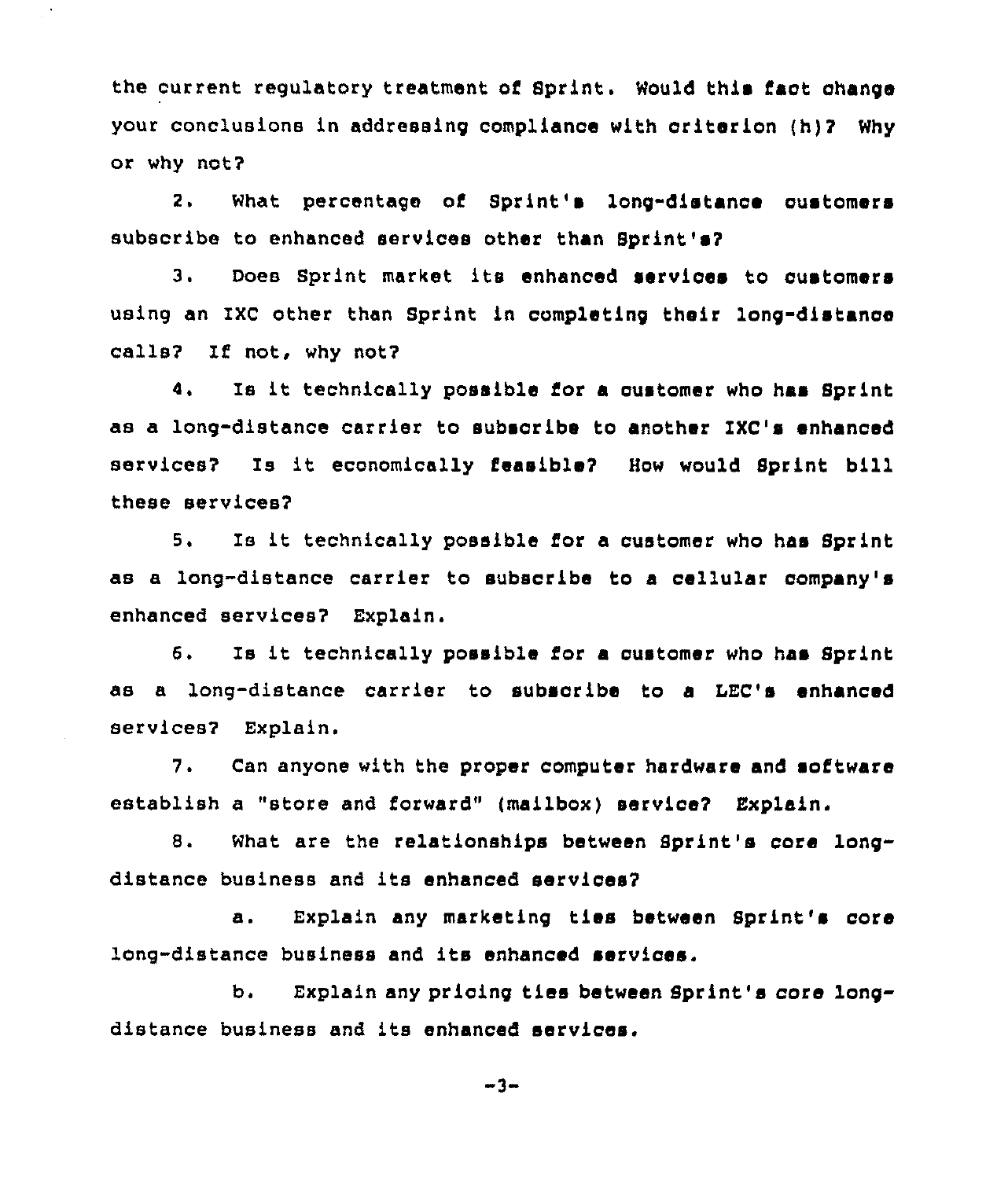the current regulatory treatment of Sprint. Would this fact change your conclusions in addressing complianoe with criterion (h)7 Why or why not?

 $\epsilon$ 

2. What percentage of Sprint's long-distance customers subscribe to enhanced services other than Sprint's?

3. Does Sprint market its enhanced services to using an IXC other than Sprint in completing their long-distance calls? If not, why not?

4. Is it technically possible for <sup>a</sup> customer who has Sprint as a long-distance carrier to subsoribe to another IXC's enhanoed services? Is it economically feasible7 How would Sprint bill these services?

5. Is it technically possible for <sup>a</sup> customer who has Sprint as a long-distance carrier to subscribe to a cellular company's enhanced services? Explain.

6. Is it technically possible for <sup>a</sup> customer who has Sprint as a long-distance carrier to subsoribe to a LEC's enhanced services? Explain.

7. Can anyone with the proper computer hardware and software establish a "store and forward" (mailbox) service? Explain.

8. What are the relationships between Sprint's core longdistance business and its enhanced services?

a. Explain any marketing ties between Sprint's core long-distance business and its enhanced services.

b. Explain any pricing ties between Sprint's core longdistance business and its enhanced services.

 $-3-$